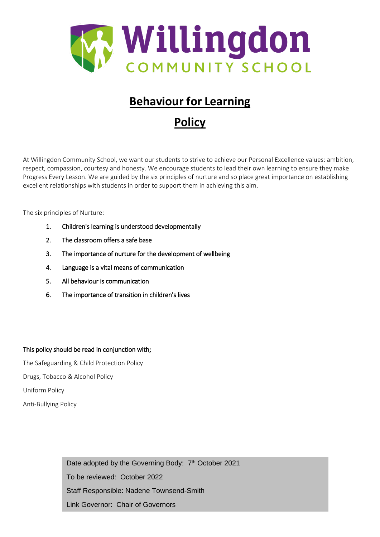

# **Behaviour for Learning**

# **Policy**

At Willingdon Community School, we want our students to strive to achieve our Personal Excellence values: ambition, respect, compassion, courtesy and honesty. We encourage students to lead their own learning to ensure they make Progress Every Lesson. We are guided by the six principles of nurture and so place great importance on establishing excellent relationships with students in order to support them in achieving this aim.

The six principles of Nurture:

- 1. Children's learning is understood developmentally
- 2. The classroom offers a safe base
- 3. The importance of nurture for the development of wellbeing
- 4. Language is a vital means of communication
- 5. All behaviour is communication
- 6. The importance of transition in children's lives

# This policy should be read in conjunction with;

The Safeguarding & Child Protection Policy Drugs, Tobacco & Alcohol Policy Uniform Policy Anti-Bullying Policy

> Date adopted by the Governing Body: 7<sup>th</sup> October 2021 To be reviewed: October 2022 Staff Responsible: Nadene Townsend-Smith Link Governor: Chair of Governors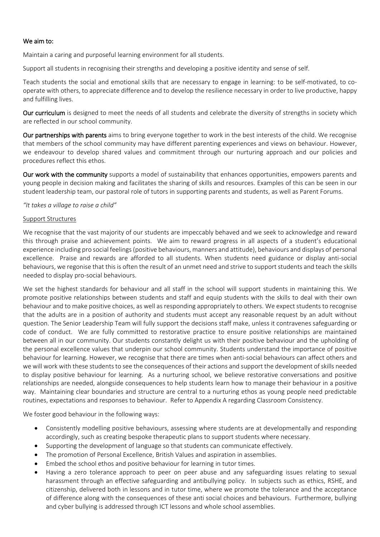#### We aim to:

Maintain a caring and purposeful learning environment for all students.

Support all students in recognising their strengths and developing a positive identity and sense of self.

Teach students the social and emotional skills that are necessary to engage in learning: to be self-motivated, to cooperate with others, to appreciate difference and to develop the resilience necessary in order to live productive, happy and fulfilling lives.

Our curriculum is designed to meet the needs of all students and celebrate the diversity of strengths in society which are reflected in our school community.

Our partnerships with parents aims to bring everyone together to work in the best interests of the child. We recognise that members of the school community may have different parenting experiences and views on behaviour. However, we endeavour to develop shared values and commitment through our nurturing approach and our policies and procedures reflect this ethos.

Our work with the community supports a model of sustainability that enhances opportunities, empowers parents and young people in decision making and facilitates the sharing of skills and resources. Examples of this can be seen in our student leadership team, our pastoral role of tutors in supporting parents and students, as well as Parent Forums.

#### *"It takes a village to raise a child"*

#### Support Structures

We recognise that the vast majority of our students are impeccably behaved and we seek to acknowledge and reward this through praise and achievement points. We aim to reward progress in all aspects of a student's educational experience including pro social feelings(positive behaviours, manners and attitude), behaviours and displays of personal excellence. Praise and rewards are afforded to all students. When students need guidance or display anti-social behaviours, we regonise that this is often the result of an unmet need and strive to support students and teach the skills needed to display pro-social behaviours.

We set the highest standards for behaviour and all staff in the school will support students in maintaining this. We promote positive relationships between students and staff and equip students with the skills to deal with their own behaviour and to make positive choices, as well as responding appropriately to others. We expect students to recognise that the adults are in a position of authority and students must accept any reasonable request by an adult without question. The Senior Leadership Team will fully support the decisions staff make, unless it contravenes safeguarding or code of conduct. We are fully committed to restorative practice to ensure positive relationships are maintained between all in our community. Our students constantly delight us with their positive behaviour and the upholding of the personal excellence values that underpin our school community. Students understand the importance of positive behaviour for learning. However, we recognise that there are times when anti-social behaviours can affect others and we will work with these students to see the consequences of their actions and support the development of skills needed to display positive behaviour for learning. As a nurturing school, we believe restorative conversations and positive relationships are needed, alongside consequences to help students learn how to manage their behaviour in a positive way. Maintaining clear boundaries and structure are central to a nurturing ethos as young people need predictable routines, expectations and responses to behaviour. Refer to Appendix A regarding Classroom Consistency.

We foster good behaviour in the following ways:

- Consistently modelling positive behaviours, assessing where students are at developmentally and responding accordingly, such as creating bespoke therapeutic plans to support students where necessary.
- Supporting the development of language so that students can communicate effectively.
- The promotion of Personal Excellence, British Values and aspiration in assemblies.
- Embed the school ethos and positive behaviour for learning in tutor times.
- Having a zero tolerance approach to peer on peer abuse and any safeguarding issues relating to sexual harassment through an effective safeguarding and antibullying policy. In subjects such as ethics, RSHE, and citizenship, delivered both in lessons and in tutor time, where we promote the tolerance and the acceptance of difference along with the consequences of these anti social choices and behaviours. Furthermore, bullying and cyber bullying is addressed through ICT lessons and whole school assemblies.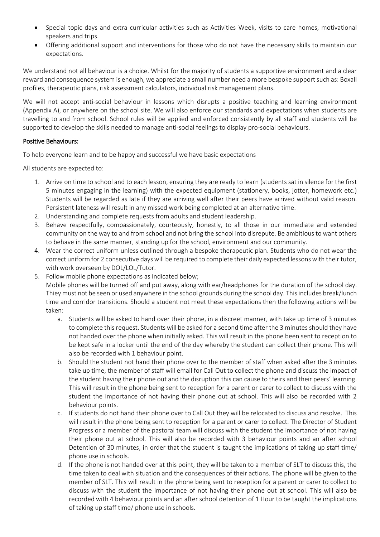- Special topic days and extra curricular activities such as Activities Week, visits to care homes, motivational speakers and trips.
- Offering additional support and interventions for those who do not have the necessary skills to maintain our expectations.

We understand not all behaviour is a choice. Whilst for the majority of students a supportive environment and a clear reward and consequence system is enough, we appreciate a small number need a more bespoke support such as: Boxall profiles, therapeutic plans, risk assessment calculators, individual risk management plans.

We will not accept anti-social behaviour in lessons which disrupts a positive teaching and learning environment (Appendix A), or anywhere on the school site. We will also enforce our standards and expectations when students are travelling to and from school. School rules will be applied and enforced consistently by all staff and students will be supported to develop the skills needed to manage anti-social feelings to display pro-social behaviours.

## Positive Behaviours:

To help everyone learn and to be happy and successful we have basic expectations

All students are expected to:

- 1. Arrive on time to school and to each lesson, ensuring they are ready to learn (students sat in silence for the first 5 minutes engaging in the learning) with the expected equipment (stationery, books, jotter, homework etc.) Students will be regarded as late if they are arriving well after their peers have arrived without valid reason. Persistent lateness will result in any missed work being completed at an alternative time.
- 2. Understanding and complete requests from adults and student leadership.
- 3. Behave respectfully, compassionately, courteously, honestly, to all those in our immediate and extended community on the way to and from school and not bring the school into disrepute. Be ambitious to want others to behave in the same manner, standing up for the school, environment and our community.
- 4. Wear the correct uniform unless outlined through a bespoke therapeutic plan. Students who do not wear the correct uniform for 2 consecutive days will be required to complete their daily expected lessons with their tutor, with work overseen by DOL/LOL/Tutor.
- 5. Follow mobile phone expectations as indicated below;

Mobile phones will be turned off and put away, along with ear/headphones for the duration of the school day. Thiey must not be seen or used anywhere in the school grounds during the school day. This includes break/lunch time and corridor transitions. Should a student not meet these expectations then the following actions will be taken:

- a. Students will be asked to hand over their phone, in a discreet manner, with take up time of 3 minutes to complete this request. Students will be asked for a second time after the 3 minutes should they have not handed over the phone when initially asked. This will result in the phone been sent to reception to be kept safe in a locker until the end of the day whereby the student can collect their phone. This will also be recorded with 1 behaviour point.
- b. Should the student not hand their phone over to the member of staff when asked after the 3 minutes take up time, the member of staff will email for Call Out to collect the phone and discuss the impact of the student having their phone out and the disruption this can cause to theirs and their peers' learning. This will result in the phone being sent to reception for a parent or carer to collect to discuss with the student the importance of not having their phone out at school. This will also be recorded with 2 behaviour points.
- c. If students do not hand their phone over to Call Out they will be relocated to discuss and resolve. This will result in the phone being sent to reception for a parent or carer to collect. The Director of Student Progress or a member of the pastoral team will discuss with the student the importance of not having their phone out at school. This will also be recorded with 3 behaviour points and an after school Detention of 30 minutes, in order that the student is taught the implications of taking up staff time/ phone use in schools.
- d. If the phone is not handed over at this point, they will be taken to a member of SLT to discuss this, the time taken to deal with situation and the consequences of their actions. The phone will be given to the member of SLT. This will result in the phone being sent to reception for a parent or carer to collect to discuss with the student the importance of not having their phone out at school. This will also be recorded with 4 behaviour points and an after school detention of 1 Hour to be taught the implications of taking up staff time/ phone use in schools.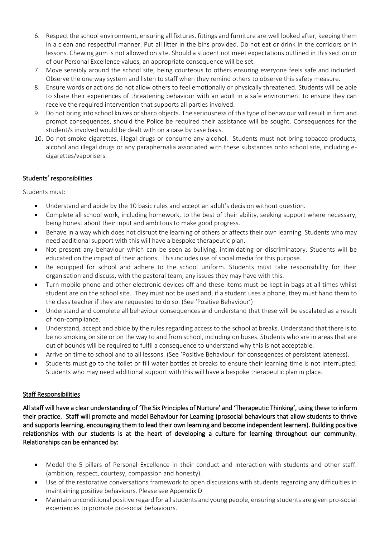- 6. Respect the school environment, ensuring all fixtures, fittings and furniture are well looked after, keeping them in a clean and respectful manner. Put all litter in the bins provided. Do not eat or drink in the corridors or in lessons. Chewing gum is not allowed on site. Should a student not meet expectations outlined in this section or of our Personal Excellence values, an appropriate consequence will be set.
- 7. Move sensibly around the school site, being courteous to others ensuring everyone feels safe and included. Observe the one way system and listen to staff when they remind others to observe this safety measure.
- 8. Ensure words or actions do not allow others to feel emotionally or physically threatened. Students will be able to share their experiences of threatening behaviour with an adult in a safe environment to ensure they can receive the required intervention that supports all parties involved.
- 9. Do not bring into school knives or sharp objects. The seriousness of this type of behaviour will result in firm and prompt consequences, should the Police be required their assistance will be sought. Consequences for the student/s involved would be dealt with on a case by case basis.
- 10. Do not smoke cigarettes, illegal drugs or consume any alcohol. Students must not bring tobacco products, alcohol and illegal drugs or any paraphernalia associated with these substances onto school site, including ecigarettes/vaporisers.

## Students' responsibilities

Students must:

- Understand and abide by the 10 basic rules and accept an adult's decision without question.
- Complete all school work, including homework, to the best of their ability, seeking support where necessary, being honest about their input and ambitous to make good progress.
- Behave in a way which does not disrupt the learning of others or affects their own learning. Students who may need additional support with this will have a bespoke therapeutic plan.
- Not present any behaviour which can be seen as bullying, intimidating or discriminatory. Students will be educated on the impact of their actions. This includes use of social media for this purpose.
- Be equipped for school and adhere to the school uniform. Students must take responsibility for their organisation and discuss, with the pastoral team, any issues they may have with this.
- Turn mobile phone and other electronic devices off and these items must be kept in bags at all times whilst student are on the school site. They must not be used and, if a student uses a phone, they must hand them to the class teacher if they are requested to do so. (See 'Positive Behaviour')
- Understand and complete all behaviour consequences and understand that these will be escalated as a result of non-compliance.
- Understand, accept and abide by the rules regarding access to the school at breaks. Understand that there is to be no smoking on site or on the way to and from school, including on buses. Students who are in areas that are out of bounds will be required to fulfil a consequence to understand why this is not acceptable.
- Arrive on time to school and to all lessons. (See 'Positive Behaviour' for conseqences of persistent lateness).
- Students must go to the toilet or fill water bottles at breaks to ensure their learning time is not interrupted. Students who may need additional support with this will have a bespoke therapeutic plan in place.

## Staff Responsibilities

All staff will have a clear understanding of 'The Six Principles of Nurture' and 'Therapeutic Thinking', using these to inform their practice. Staff will promote and model Behaviour for Learning (prosocial behaviours that allow students to thrive and supports learning, encouraging them to lead their own learning and become independent learners). Building positive relationships with our students is at the heart of developing a culture for learning throughout our community. Relationships can be enhanced by:

- Model the 5 pillars of Personal Excellence in their conduct and interaction with students and other staff. (ambition, respect, courtesy, compassion and honesty).
- Use of the restorative conversations framework to open discussions with students regarding any difficulties in maintaining positive behaviours. Please see Appendix D
- Maintain unconditional positive regard for all students and young people, ensuring students are given pro-social experiences to promote pro-social behaviours.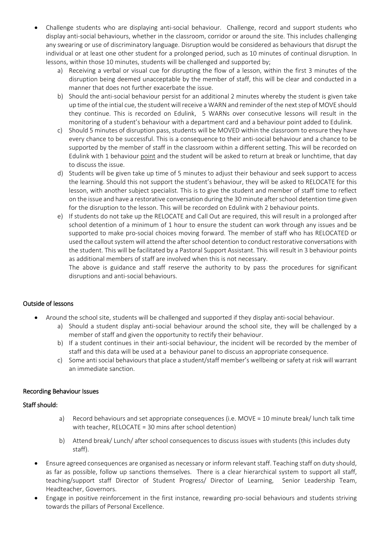- Challenge students who are displaying anti-social behaviour. Challenge, record and support students who display anti-social behaviours, whether in the classroom, corridor or around the site. This includes challenging any swearing or use of discriminatory language. Disruption would be considered as behaviours that disrupt the individual or at least one other student for a prolonged period, such as 10 minutes of continual disruption. In lessons, within those 10 minutes, students will be challenged and supported by;
	- a) Receiving a verbal or visual cue for disrupting the flow of a lesson, within the first 3 minutes of the disruption being deemed unacceptable by the member of staff, this will be clear and conducted in a manner that does not further exacerbate the issue.
	- b) Should the anti-social behaviour persist for an additional 2 minutes whereby the student is given take up time of the intial cue, the student will receive a WARN and reminder of the next step of MOVE should they continue. This is recorded on Edulink, 5 WARNs over consecutive lessons will result in the monitoring of a student's behaviour with a department card and a behaviour point added to Edulink.
	- c) Should 5 minutes of disruption pass, students will be MOVED within the classroom to ensure they have every chance to be successful. This is a consequence to their anti-social behaviour and a chance to be supported by the member of staff in the classroom within a different setting. This will be recorded on Edulink with 1 behaviour point and the student will be asked to return at break or lunchtime, that day to discuss the issue.
	- d) Students will be given take up time of 5 minutes to adjust their behaviour and seek support to access the learning. Should this not support the student's behaviour, they will be asked to RELOCATE for this lesson, with another subject specialist. This is to give the student and member of staff time to reflect on the issue and have a restorative conversation during the 30 minute after school detention time given for the disruption to the lesson. This will be recorded on Edulink with 2 behaviour points.
	- e) If students do not take up the RELOCATE and Call Out are required, this will result in a prolonged after school detention of a minimum of 1 hour to ensure the student can work through any issues and be supported to make pro-social choices moving forward. The member of staff who has RELOCATED or used the callout system will attend the after school detention to conduct restorative conversations with the student. This will be facilitated by a Pastoral Support Assistant. This will result in 3 behaviour points as additional members of staff are involved when this is not necessary.

The above is guidance and staff reserve the authority to by pass the procedures for significant disruptions and anti-social behaviours.

# Outside of lessons

- Around the school site, students will be challenged and supported if they display anti-social behaviour.
	- a) Should a student display anti-social behaviour around the school site, they will be challenged by a member of staff and given the opportunity to rectify their behaviour.
	- b) If a student continues in their anti-social behaviour, the incident will be recorded by the member of staff and this data will be used at a behaviour panel to discuss an appropriate consequence.
	- c) Some anti social behaviours that place a student/staff member's wellbeing or safety at risk will warrant an immediate sanction.

## Recording Behaviour Issues

## Staff should:

- a) Record behaviours and set appropriate consequences (i.e. MOVE = 10 minute break/ lunch talk time with teacher, RELOCATE = 30 mins after school detention)
- b) Attend break/ Lunch/ after school consequences to discuss issues with students (this includes duty staff).
- Ensure agreed consequences are organised as necessary or inform relevant staff. Teaching staff on duty should, as far as possible, follow up sanctions themselves. There is a clear hierarchical system to support all staff, teaching/support staff Director of Student Progress/ Director of Learning, Senior Leadership Team, Headteacher, Governors.
- Engage in positive reinforcement in the first instance, rewarding pro-social behaviours and students striving towards the pillars of Personal Excellence.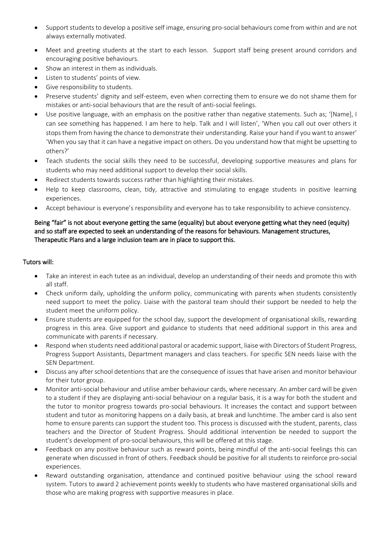- Support students to develop a positive self image, ensuring pro-social behaviours come from within and are not always externally motivated.
- Meet and greeting students at the start to each lesson. Support staff being present around corridors and encouraging positive behaviours.
- Show an interest in them as individuals.
- Listen to students' points of view.
- Give responsibility to students.
- Preserve students' dignity and self-esteem, even when correcting them to ensure we do not shame them for mistakes or anti-social behaviours that are the result of anti-social feelings.
- Use positive language, with an emphasis on the positive rather than negative statements. Such as; '[Name], I can see something has happened. I am here to help. Talk and I will listen', 'When you call out over others it stops them from having the chance to demonstrate their understanding. Raise your hand if you want to answer' 'When you say that it can have a negative impact on others. Do you understand how that might be upsetting to others?'
- Teach students the social skills they need to be successful, developing supportive measures and plans for students who may need additional support to develop their social skills.
- Redirect students towards success rather than highlighting their mistakes.
- Help to keep classrooms, clean, tidy, attractive and stimulating to engage students in positive learning experiences.
- Accept behaviour is everyone's responsibility and everyone has to take responsibility to achieve consistency.

## Being "fair" is not about everyone getting the same (equality) but about everyone getting what they need (equity) and so staff are expected to seek an understanding of the reasons for behaviours. Management structures, Therapeutic Plans and a large inclusion team are in place to support this.

## Tutors will:

- Take an interest in each tutee as an individual, develop an understanding of their needs and promote this with all staff.
- Check uniform daily, upholding the uniform policy, communicating with parents when students consistently need support to meet the policy. Liaise with the pastoral team should their support be needed to help the student meet the uniform policy.
- Ensure students are equipped for the school day, support the development of organisational skills, rewarding progress in this area. Give support and guidance to students that need additional support in this area and communicate with parents if necessary.
- Respond when students need additional pastoral or academic support, liaise with Directors of Student Progress, Progress Support Assistants, Department managers and class teachers. For specific SEN needs liaise with the SEN Department.
- Discuss any after school detentions that are the consequence of issues that have arisen and monitor behaviour for their tutor group.
- Monitor anti-social behaviour and utilise amber behaviour cards, where necessary. An amber card will be given to a student if they are displaying anti-social behaviour on a regular basis, it is a way for both the student and the tutor to monitor progress towards pro-social behaviours. It increases the contact and support between student and tutor as monitoring happens on a daily basis, at break and lunchtime. The amber card is also sent home to ensure parents can support the student too. This process is discussed with the student, parents, class teachers and the Director of Student Progress. Should additional intervention be needed to support the student's development of pro-social behaviours, this will be offered at this stage.
- Feedback on any positive behaviour such as reward points, being mindful of the anti-social feelings this can generate when discussed in front of others. Feedback should be positive for all students to reinforce pro-social experiences.
- Reward outstanding organisation, attendance and continued positive behaviour using the school reward system. Tutors to award 2 achievement points weekly to students who have mastered organisational skills and those who are making progress with supportive measures in place.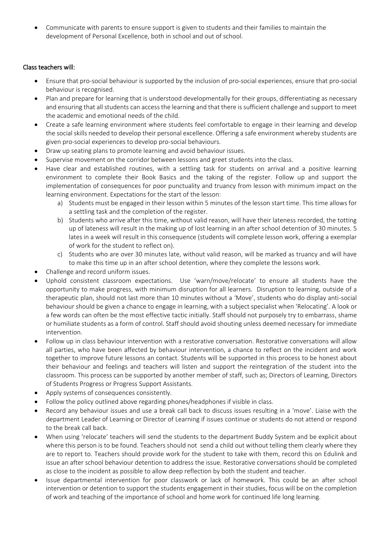Communicate with parents to ensure support is given to students and their families to maintain the development of Personal Excellence, both in school and out of school.

## Class teachers will:

- Ensure that pro-social behaviour is supported by the inclusion of pro-social experiences, ensure that pro-social behaviour is recognised.
- Plan and prepare for learning that is understood developmentally for their groups, differentiating as necessary and ensuring that all students can access the learning and that there is sufficient challenge and support to meet the academic and emotional needs of the child.
- Create a safe learning environment where students feel comfortable to engage in their learning and develop the social skills needed to develop their personal excellence. Offering a safe environment whereby students are given pro-social experiences to develop pro-social behaviours.
- Draw up seating plans to promote learning and avoid behaviour issues.
- Supervise movement on the corridor between lessons and greet students into the class.
- Have clear and established routines, with a settling task for students on arrival and a positive learning environment to complete their Book Basics and the taking of the register. Follow up and support the implementation of consequences for poor punctuality and truancy from lesson with minimum impact on the learning environment. Expectations for the start of the lesson:
	- a) Students must be engaged in their lesson within 5 minutes of the lesson start time. This time allows for a settling task and the completion of the register.
	- b) Students who arrive after this time, without valid reason, will have their lateness recorded, the totting up of lateness will result in the making up of lost learning in an after school detention of 30 minutes. 5 lates in a week will result in this consequence (students will complete lesson work, offering a exemplar of work for the student to reflect on).
	- c) Students who are over 30 minutes late, without valid reason, will be marked as truancy and will have to make this time up in an after school detention, where they complete the lessons work.
- Challenge and record uniform issues.
- Uphold consistent classroom expectations. Use 'warn/move/relocate' to ensure all students have the opportunity to make progress, with minimum disruption for all learners. Disruption to learning, outside of a therapeutic plan, should not last more than 10 minutes without a 'Move', students who do display anti-social behaviour should be given a chance to engage in learning, with a subject specialist when 'Relocating'. A look or a few words can often be the most effective tactic initially. Staff should not purposely try to embarrass, shame or humiliate students as a form of control. Staff should avoid shouting unless deemed necessary for immediate intervention.
- Follow up in class behaviour intervention with a restorative conversation. Restorative conversations will allow all parties, who have been affected by behaviour intervention, a chance to reflect on the incident and work together to improve future lessons an contact. Students will be supported in this process to be honest about their behaviour and feelings and teachers will listen and support the reintegration of the student into the classroom. This process can be supported by another member of staff, such as; Directors of Learning, Directors of Students Progress or Progress Support Assistants.
- Apply systems of consequences consistently.
- Follow the policy outlined above regarding phones/headphones if visible in class.
- Record any behaviour issues and use a break call back to discuss issues resulting in a 'move'. Liaise with the department Leader of Learning or Director of Learning if issues continue or students do not attend or respond to the break call back.
- When using 'relocate' teachers will send the students to the department Buddy System and be explicit about where this person is to be found. Teachers should not send a child out without telling them clearly where they are to report to. Teachers should provide work for the student to take with them, record this on Edulink and issue an after school behaviour detention to address the issue. Restorative conversations should be completed as close to the incident as possible to allow deep reflection by both the student and teacher.
- Issue departmental intervention for poor classwork or lack of homework. This could be an after school intervention or detention to support the students engagement in their studies, focus will be on the completion of work and teaching of the importance of school and home work for continued life long learning.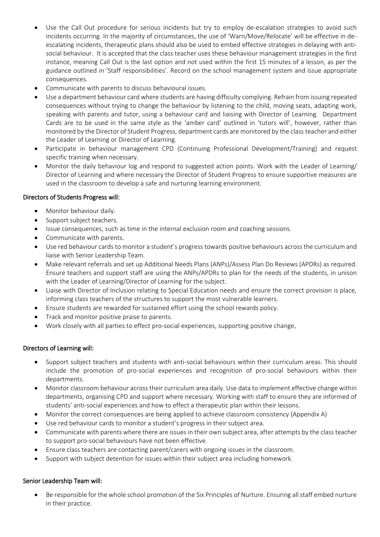- Use the Call Out procedure for serious incidents but try to employ de-escalation strategies to avoid such incidents occurring. In the majority of circumstances, the use of 'Warn/Move/Relocate' will be effective in deescalating incidents, therapeutic plans should also be used to embed effective strategies in delaying with antisocial behaviour. It is accepted that the class teacher uses these behaviour management strategies in the first instance, meaning Call Out is the last option and not used within the first 15 minutes of a lesson, as per the guidance outlined in 'Staff responsibilities'. Record on the school management system and issue appropriate consequences.
- Communicate with parents to discuss behavioural issues.
- Use a department behaviour card where students are having difficulty complying. Refrain from issuing repeated consequences without trying to change the behaviour by listening to the child, moving seats, adapting work, speaking with parents and tutor, using a behaviour card and liaising with Director of Learning. Department Cards are to be used in the same style as the 'amber card' outlined in 'tutors will', however, rather than monitored by the Director of Student Progress, department cards are monitored by the class teacher and either the Leader of Learning or Director of Learning.
- Participate in behaviour management CPD (Continuing Professional Development/Training) and request specific training when necessary.
- Monitor the daily behaviour log and respond to suggested action points. Work with the Leader of Learning/ Director of Learning and where necessary the Director of Student Progress to ensure supportive measures are used in the classroom to develop a safe and nurturing learning environment.

## Directors of Students Progress will:

- Monitor behaviour daily.
- Support subject teachers.
- Issue consequences, such as time in the internal exclusion room and coaching sessions.
- Communicate with parents.
- Use red behaviour cards to monitor a student's progress towards positive behaviours across the curriculum and liaise with Senior Leadership Team.
- Make relevant referrals and set up Additional Needs Plans (ANPs)/Assess Plan Do Reviews (APDRs) as required. Ensure teachers and support staff are using the ANPs/APDRs to plan for the needs of the students, in unison with the Leader of Learning/Director of Learning for the subject.
- Liaise with Director of Inclusion relating to Special Education needs and ensure the correct provision is place, informing class teachers of the structures to support the most vulnerable learners.
- Ensure students are rewarded for sustained effort using the school rewards policy.
- Track and monitor positive praise to parents.
- Work closely with all parties to effect pro-social experiences, supporting positive change.

## Directors of Learning will:

- Support subject teachers and students with anti-social behaviours within their curriculum areas. This should include the promotion of pro-social experiences and recognition of pro-social behaviours within their departments.
- Monitor classroom behaviour across their curriculum area daily. Use data to implement effective change within departments, organising CPD and support where necessary. Working with staff to ensure they are informed of students' anti-social experiences and how to effect a therapeutic plan within their lessons.
- Monitor the correct consequences are being applied to achieve classroom consistency (Appendix A)
- Use red behaviour cards to monitor a student's progress in their subject area.
- Communicate with parents where there are issues in their own subject area, after attempts by the class teacher to support pro-social behaviours have not been effective.
- Ensure class teachers are contacting parent/carers with ongoing issues in the classroom.
- Support with subject detention for issues within their subject area including homework.

## Senior Leadership Team will:

 Be responsible for the whole school promotion of the Six Principles of Nurture. Ensuring all staff embed nurture in their practice.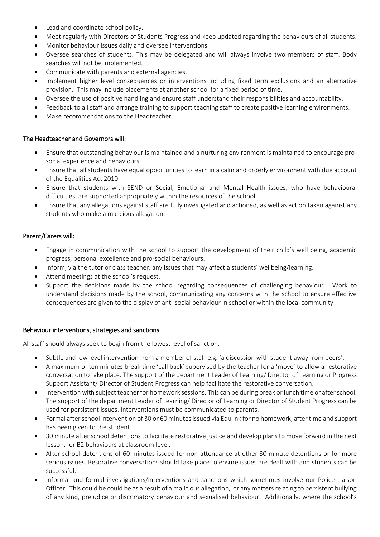- Lead and coordinate school policy.
- Meet regularly with Directors of Students Progress and keep updated regarding the behaviours of all students.
- Monitor behaviour issues daily and oversee interventions.
- Oversee searches of students. This may be delegated and will always involve two members of staff. Body searches will not be implemented.
- Communicate with parents and external agencies.
- Implement higher level consequences or interventions including fixed term exclusions and an alternative provision. This may include placements at another school for a fixed period of time.
- Oversee the use of positive handling and ensure staff understand their responsibilities and accountability.
- Feedback to all staff and arrange training to support teaching staff to create positive learning environments.
- Make recommendations to the Headteacher.

## The Headteacher and Governors will:

- Ensure that outstanding behaviour is maintained and a nurturing environment is maintained to encourage prosocial experience and behaviours.
- Ensure that all students have equal opportunities to learn in a calm and orderly environment with due account of the Equalities Act 2010.
- Ensure that students with SEND or Social, Emotional and Mental Health issues, who have behavioural difficulties, are supported appropriately within the resources of the school.
- Ensure that any allegations against staff are fully investigated and actioned, as well as action taken against any students who make a malicious allegation.

#### Parent/Carers will:

- Engage in communication with the school to support the development of their child's well being, academic progress, personal excellence and pro-social behaviours.
- Inform, via the tutor or class teacher, any issues that may affect a students' wellbeing/learning.
- Attend meetings at the school's request.
- Support the decisions made by the school regarding consequences of challenging behaviour. Work to understand decisions made by the school, communicating any concerns with the school to ensure effective consequences are given to the display of anti-social behaviour in school or within the local community

#### Behaviour interventions, strategies and sanctions

All staff should always seek to begin from the lowest level of sanction.

- Subtle and low level intervention from a member of staff e.g. 'a discussion with student away from peers'.
- A maximum of ten minutes break time 'call back' supervised by the teacher for a 'move' to allow a restorative conversation to take place. The support of the department Leader of Learning/ Director of Learning or Progress Support Assistant/ Director of Student Progress can help facilitate the restorative conversation.
- Intervention with subject teacher for homework sessions. This can be during break or lunch time or after school. The support of the department Leader of Learning/ Director of Learning or Director of Student Progress can be used for persistent issues. Interventions must be communicated to parents.
- Formal after school intervention of 30 or 60 minutes issued via Edulink for no homework, after time and support has been given to the student.
- 30 minute after school detentions to facilitate restorative justice and develop plans to move forward in the next lesson, for B2 behaviours at classroom level.
- After school detentions of 60 minutes issued for non-attendance at other 30 minute detentions or for more serious issues. Resorative conversations should take place to ensure issues are dealt with and students can be successful.
- Informal and formal investigations/interventions and sanctions which sometimes involve our Police Liaison Officer. This could be could be as a result of a malicious allegation, or any matters relating to persistent bullying of any kind, prejudice or discrimatory behaviour and sexualised behaviour. Additionally, where the school's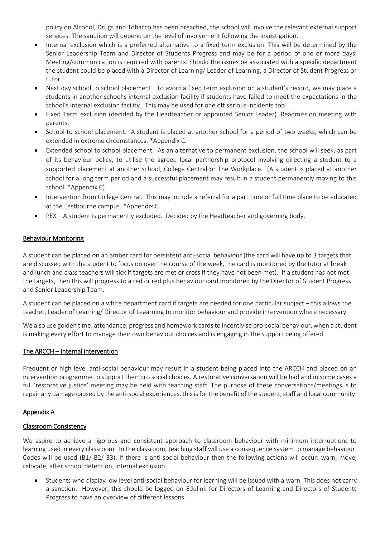policy on Alcohol, Drugs and Tobacco has been breached, the school will involve the relevant external support services. The sanction will depend on the level of involvement following the investigation.

- Internal exclusion which is a preferred alternative to a fixed term exclusion. This will be determined by the Senior Leadership Team and Director of Students Progress and may be for a period of one or more days. Meeting/communication is required with parents. Should the issues be associated with a specific department the student could be placed with a Director of Learning/ Leader of Learning, a Director of Student Progress or tutor.
- Next day school to school placement. To avoid a fixed term exclusion on a student's record, we may place a students in another school's internal exclusion facility if students have failed to meet the expectations in the school's internal exclusion facility. This may be used for one off serious incidents too.
- Fixed Term exclusion (decided by the Headteacher or appointed Senior Leader). Readmission meeting with parents.
- School to school placement. A student is placed at another school for a period of two weeks, which can be extended in extreme circumstances. \*Appendix C.
- Extended school to school placement. As an alternative to permanent exclusion, the school will seek, as part of its behaviour policy, to utilise the agreed local partnership protocol involving directing a student to a supported placement at another school, College Central or The Workplace. (A student is placed at another school for a long term period and a successful placement may result in a student permanently moving to this school. \*Appendix C).
- Intervention from College Central. This may include a referral for a part time or full time place to be educated at the Eastbourne campus. \*Appendix C
- PEX A student is permanently excluded. Decided by the Headteacher and governing body.

## Behaviour Monitoring

A student can be placed on an amber card for persistent anti-social behaviour (the card will have up to 3 targets that are discussed with the student to focus on over the course of the week, the card is monitored by the tutor at break and lunch and class teachers will tick if targets are met or cross if they have not been met). If a student has not met the targets, then this will progress to a red or red plus behaviour card monitored by the Director of Student Progress and Senior Leadership Team.

A student can be placed on a white department card if targets are needed for one particular subject – this allows the teacher, Leader of Learning/ Director of Leaarning to monitor behaviour and provide intervention where necessary.

We also use golden time, attendance, progress and homework cards to incentivise pro-social behaviour, when a student is making every effort to manage their own behaviour choices and is engaging in the support being offered.

## The ARCCH – Internal intervention

Frequent or high level anti-social behaviour may result in a student being placed into the ARCCH and placed on an intervention programme to support their pro social choices. A restorative conversation will be had and in some cases a full 'restorative justice' meeting may be held with teaching staff. The purpose of these conversations/meetings is to repair any damage caused by the anti-social experiences, this is for the benefit of the student, staff and local community.

## Appendix A

## Classroom Consistency

We aspire to achieve a rigorous and consistent approach to classroom behaviour with minimum interruptions to learning used in every classroom. In the classroom, teaching staff will use a consequence system to manage behaviour. Codes will be used (B1/ B2/ B3). If there is anti-social behaviour then the following actions will occur: warn, move, relocate, after school detention, internal exclusion.

 Students who display low level anti-social behaviour for learning will be issued with a warn. This does not carry a sanction. However, this should be logged on Edulink for Directors of Learning and Directors of Students Progress to have an overview of different lessons.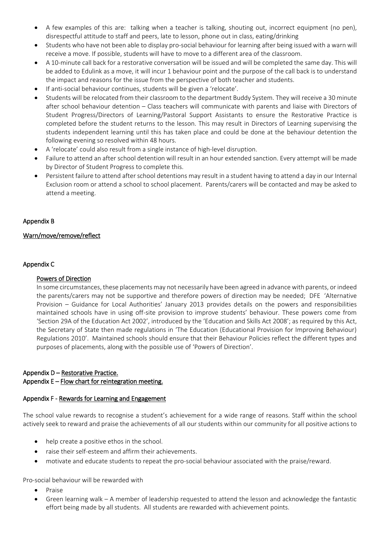- A few examples of this are: talking when a teacher is talking, shouting out, incorrect equipment (no pen), disrespectful attitude to staff and peers, late to lesson, phone out in class, eating/drinking
- Students who have not been able to display pro-social behaviour for learning after being issued with a warn will receive a move. If possible, students will have to move to a different area of the classroom.
- A 10-minute call back for a restorative conversation will be issued and will be completed the same day. This will be added to Edulink as a move, it will incur 1 behaviour point and the purpose of the call back is to understand the impact and reasons for the issue from the perspective of both teacher and students.
- If anti-social behaviour continues, students will be given a 'relocate'.
- Students will be relocated from their classroom to the department Buddy System. They will receive a 30 minute after school behaviour detention – Class teachers will communicate with parents and liaise with Directors of Student Progress/Directors of Learning/Pastoral Support Assistants to ensure the Restorative Practice is completed before the student returns to the lesson. This may result in Directors of Learning supervising the students independent learning until this has taken place and could be done at the behaviour detention the following evening so resolved within 48 hours.
- A 'relocate' could also result from a single instance of high-level disruption.
- Failure to attend an after school detention will result in an hour extended sanction. Every attempt will be made by Director of Student Progress to complete this.
- Persistent failure to attend after school detentions may result in a student having to attend a day in our Internal Exclusion room or attend a school to school placement. Parents/carers will be contacted and may be asked to attend a meeting.

## Appendix B

## Warn/move/remove/reflect

#### Appendix C

#### Powers of Direction

In some circumstances, these placements may not necessarily have been agreed in advance with parents, or indeed the parents/carers may not be supportive and therefore powers of direction may be needed; DFE 'Alternative Provision – Guidance for Local Authorities' January 2013 provides details on the powers and responsibilities maintained schools have in using off-site provision to improve students' behaviour. These powers come from 'Section 29A of the Education Act 2002', introduced by the 'Education and Skills Act 2008'; as required by this Act, the Secretary of State then made regulations in 'The Education (Educational Provision for Improving Behaviour) Regulations 2010'. Maintained schools should ensure that their Behaviour Policies reflect the different types and purposes of placements, along with the possible use of 'Powers of Direction'.

## Appendix D - Restorative Practice.

#### Appendix  $E -$  Flow chart for reintegration meeting.

## Appendix F - Rewards for Learning and Engagement

The school value rewards to recognise a student's achievement for a wide range of reasons. Staff within the school actively seek to reward and praise the achievements of all our students within our community for all positive actions to

- help create a positive ethos in the school.
- raise their self-esteem and affirm their achievements.
- motivate and educate students to repeat the pro-social behaviour associated with the praise/reward.

Pro-social behaviour will be rewarded with

- Praise
- Green learning walk A member of leadership requested to attend the lesson and acknowledge the fantastic effort being made by all students. All students are rewarded with achievement points.